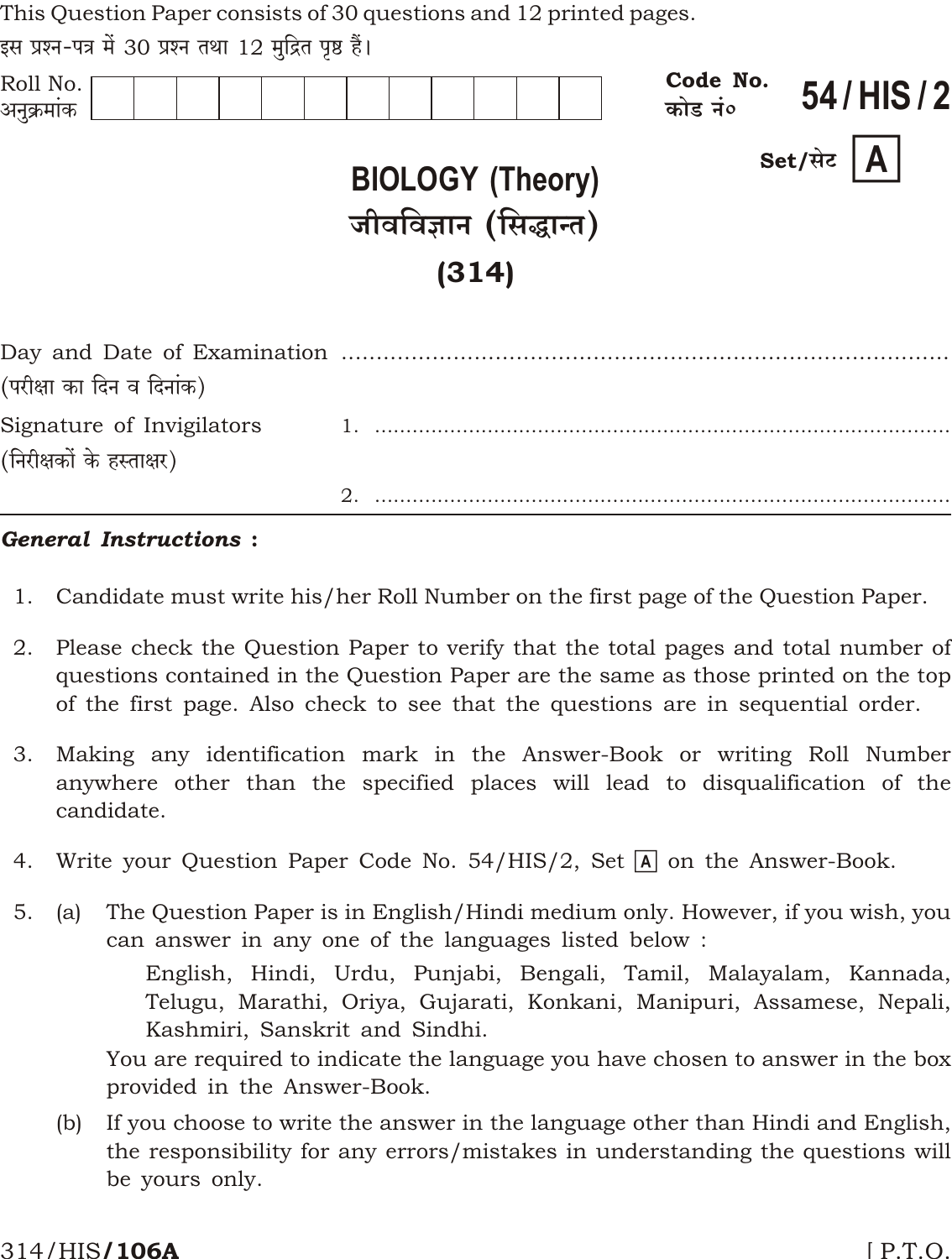| This Question Paper consists of 30 questions and 12 printed pages. |  |  |  |  |  |  |  |  |  |
|--------------------------------------------------------------------|--|--|--|--|--|--|--|--|--|
|--------------------------------------------------------------------|--|--|--|--|--|--|--|--|--|

इस प्रश्न-पत्र में 30 प्रश्न तथा 12 मुद्रित पृष्ठ हैं।

| Roll No.<br>अनुक्रमांक                                 |                                                            | Code No.<br>54/HIS/2<br>कोड नं० |
|--------------------------------------------------------|------------------------------------------------------------|---------------------------------|
|                                                        | <b>BIOLOGY (Theory)</b><br>जीवविज्ञान (सिद्धान्त)<br>(314) | Set/सेट $ A $                   |
| (परीक्षा का दिन व दिनांक)                              |                                                            |                                 |
| Signature of Invigilators<br>(निरीक्षकों के हस्ताक्षर) |                                                            |                                 |
|                                                        | 2.                                                         |                                 |

## **General Instructions:**

- Candidate must write his/her Roll Number on the first page of the Question Paper.  $1.$
- Please check the Question Paper to verify that the total pages and total number of 2. questions contained in the Question Paper are the same as those printed on the top of the first page. Also check to see that the questions are in sequential order.
- Making any identification mark in the Answer-Book or writing Roll Number 3. anywhere other than the specified places will lead to disqualification of the candidate.
- 4. Write your Question Paper Code No. 54/HIS/2, Set  $\overline{A}$  on the Answer-Book.
- $5<sub>1</sub>$ The Question Paper is in English/Hindi medium only. However, if you wish, you  $(a)$ can answer in any one of the languages listed below:

English, Hindi, Urdu, Punjabi, Bengali, Tamil, Malayalam, Kannada, Telugu, Marathi, Oriya, Gujarati, Konkani, Manipuri, Assamese, Nepali, Kashmiri, Sanskrit and Sindhi.

You are required to indicate the language you have chosen to answer in the box provided in the Answer-Book.

If you choose to write the answer in the language other than Hindi and English,  $(b)$ the responsibility for any errors/mistakes in understanding the questions will be yours only.

### 314/HIS**/106A**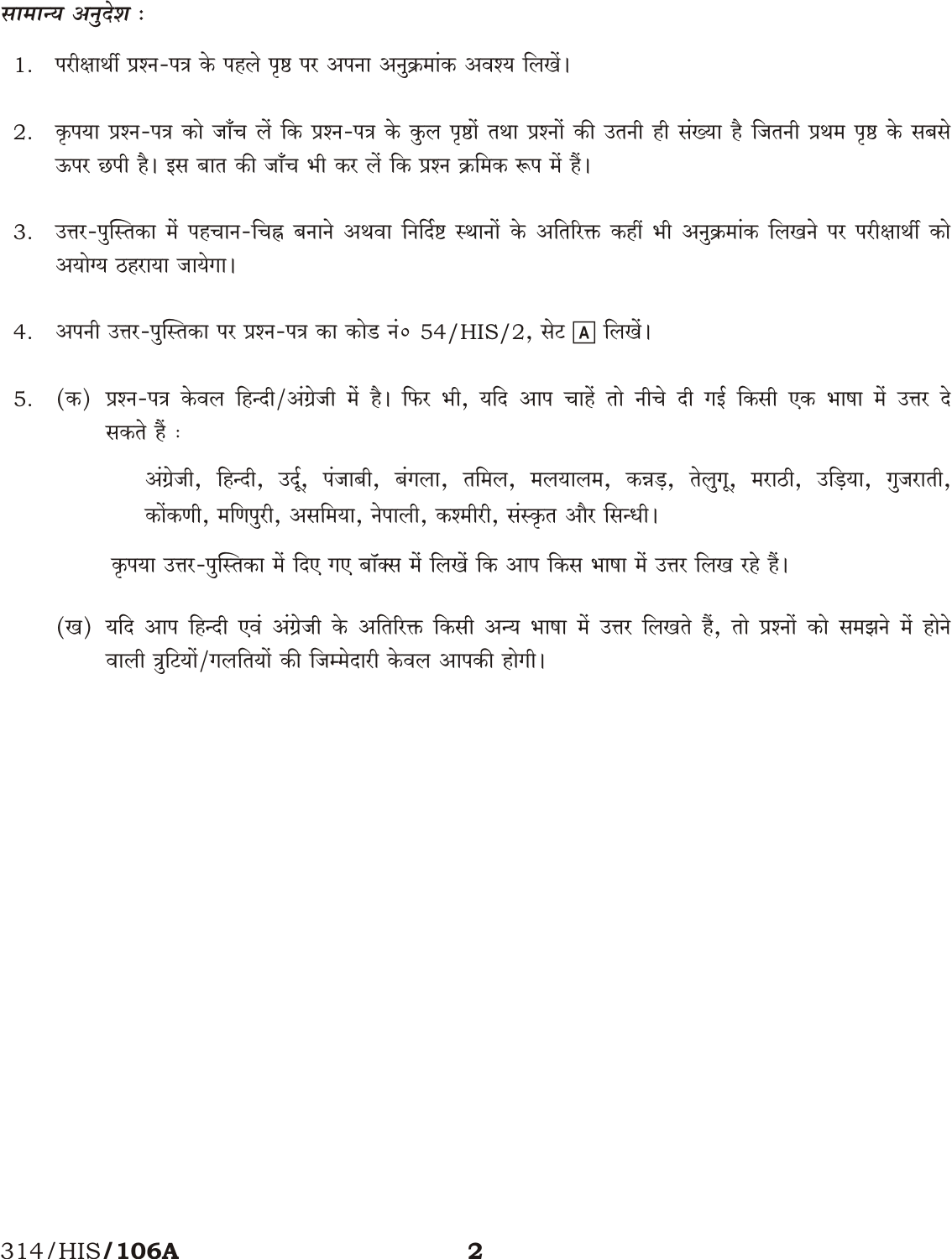## सामान्य अनुदेश :

- 1. परीक्षार्थी प्रश्न-पत्र के पहले पृष्ठ पर अपना अनुक्रमांक अवश्य लिखें।
- कृपया प्रश्न-पत्र को जाँच लें कि प्रश्न-पत्र के कुल पृष्ठों तथा प्रश्नों की उतनी ही संख्या है जितनी प्रथम पृष्ठ के सबसे 2. ऊपर छपी है। इस बात की जाँच भी कर लें कि प्रश्न क्रमिक रूप में हैं।
- उत्तर-पुस्तिका में पहचान-चिह्न बनाने अथवा निर्दिष्ट स्थानों के अतिरिक्त कहीं भी अनुक्रमांक लिखने पर परीक्षार्थी को 3. अयोग्य ठहराया जायेगा।
- अपनी उत्तर-पुस्तिका पर प्रश्न-पत्र का कोड नं० 54/HIS/2, सेट [A] लिखें।  $4.$
- (क) प्रश्न-पत्र केवल हिन्दी/अंग्रेजी में है। फिर भी, यदि आप चाहें तो नीचे दी गई किसी एक भाषा में उत्तर दे 5. सकते हैं :

अंग्रेजी, हिन्दी, उर्दू, पंजाबी, बंगला, तमिल, मलयालम, कन्नड़, तेलुगू, मराठी, उड़िया, गुजराती, कोंकणी, मणिपुरी, असमिया, नेपाली, कश्मीरी, संस्कृत और सिन्धी।

कृपया उत्तर-पुस्तिका में दिए गए बॉक्स में लिखें कि आप किस भाषा में उत्तर लिख रहे हैं।

(ख) यदि आप हिन्दी एवं अंग्रेजी के अतिरिक्त किसी अन्य भाषा में उत्तर लिखते हैं, तो प्रश्नों को समझने में होने वाली त्रुटियों/गलतियों की जिम्मेदारी केवल आपकी होगी।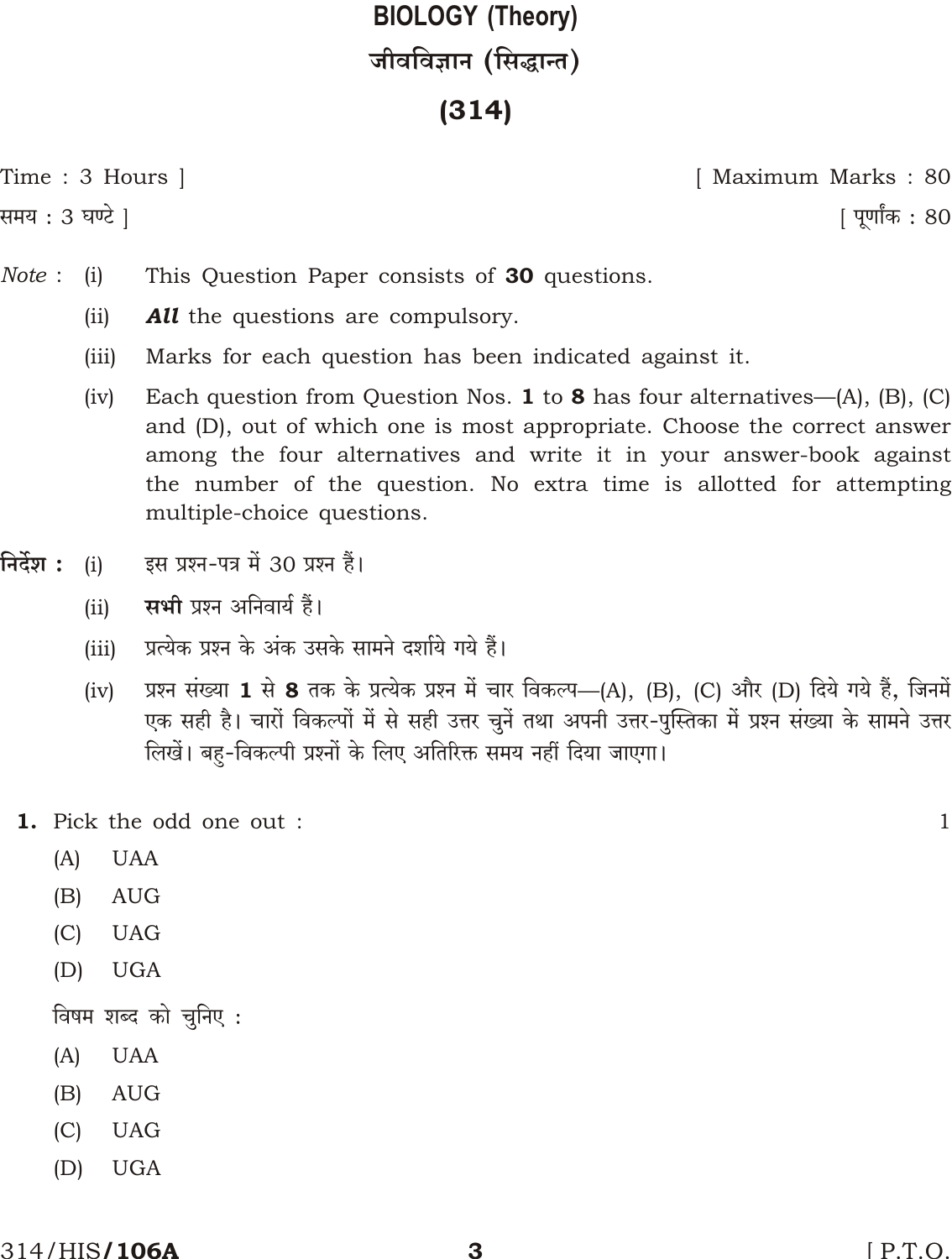# **BIOLOGY (Theory)** जीवविज्ञान (सिद्धान्त)

# $(314)$

Time : 3 Hours |

समय : 3 घण्टे ]

[ Maximum Marks: 80

<u>|</u> पूर्णांक : 80

- Note:  $(i)$ This Question Paper consists of 30 questions.
	- $(ii)$ **All** the questions are compulsory.
	- $(iii)$ Marks for each question has been indicated against it.
	- Each question from Question Nos. 1 to 8 has four alternatives— $(A)$ ,  $(B)$ ,  $(C)$  $(iv)$ and (D), out of which one is most appropriate. Choose the correct answer among the four alternatives and write it in your answer-book against the number of the question. No extra time is allotted for attempting multiple-choice questions.
- निर्देश : इस प्रश्न-पत्र में 30 प्रश्न हैं।  $(i)$ 
	- सभी प्रश्न अनिवार्य हैं।  $(ii)$
	- प्रत्येक प्रश्न के अंक उसके सामने दर्शाये गये हैं।  $(iii)$
	- प्रश्न संख्या 1 से 8 तक के प्रत्येक प्रश्न में चार विकल्प—(A), (B), (C) और (D) दिये गये हैं, जिनमें  $(iv)$ एक सही है। चारों विकल्पों में से सही उत्तर चुनें तथा अपनी उत्तर-पुस्तिका में प्रश्न संख्या के सामने उत्तर लिखें। बहु-विकल्पी प्रश्नों के लिए अतिरिक्त समय नहीं दिया जाएगा।
	- 1. Pick the odd one out :
		- $(A)$ **UAA**
		- **AUG**  $(B)$
		- $(C)$ **UAG**
		- $(D)$ **UGA**

विषम शब्द को चुनिए :

- $(A)$ **UAA**
- $(B)$ **AUG**
- $(C)$ **UAG**
- $(D)$ **UGA**

 $\mathbf 1$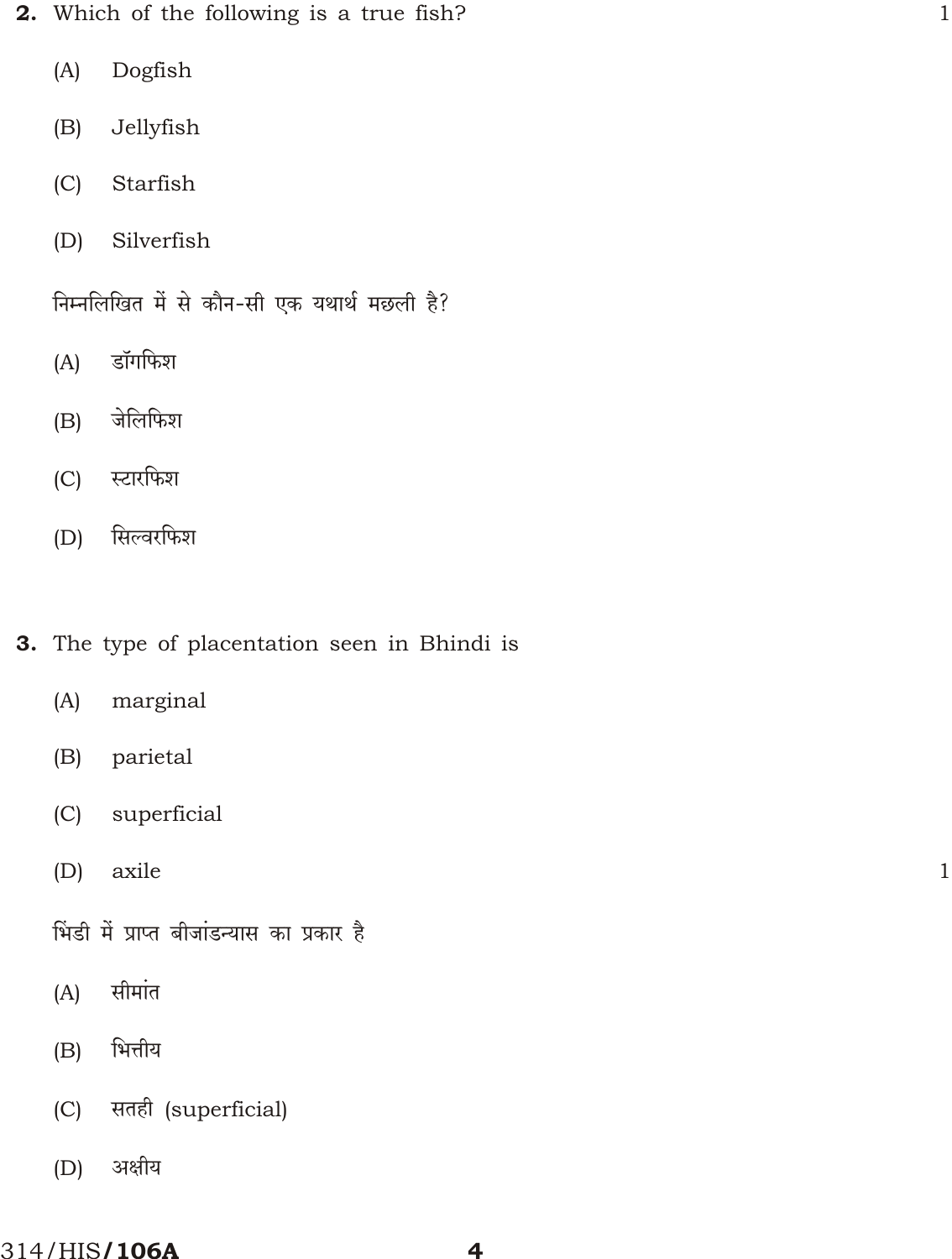2. Which of the following is a true fish?

 $\mathbf{1}$ 

 $\mathbf{1}$ 

- $(A)$ Dogfish
- $(B)$ Jellyfish
- Starfish  $(C)$
- Silverfish  $(D)$

निम्नलिखित में से कौन-सी एक यथार्थ मछली है?

- डॉगफिश  $(A)$
- जेलिफिश  $(B)$
- स्टारफिश  $(C)$
- सिल्वरफिश  $(D)$

# 3. The type of placentation seen in Bhindi is

- $(A)$ marginal
- parietal  $(B)$
- $(C)$ superficial
- axile  $(D)$

भिंडी में प्राप्त बीजांडन्यास का प्रकार है

- सीमांत  $(A)$
- भित्तीय  $(B)$
- सतही (superficial)  $(C)$
- अक्षीय  $(D)$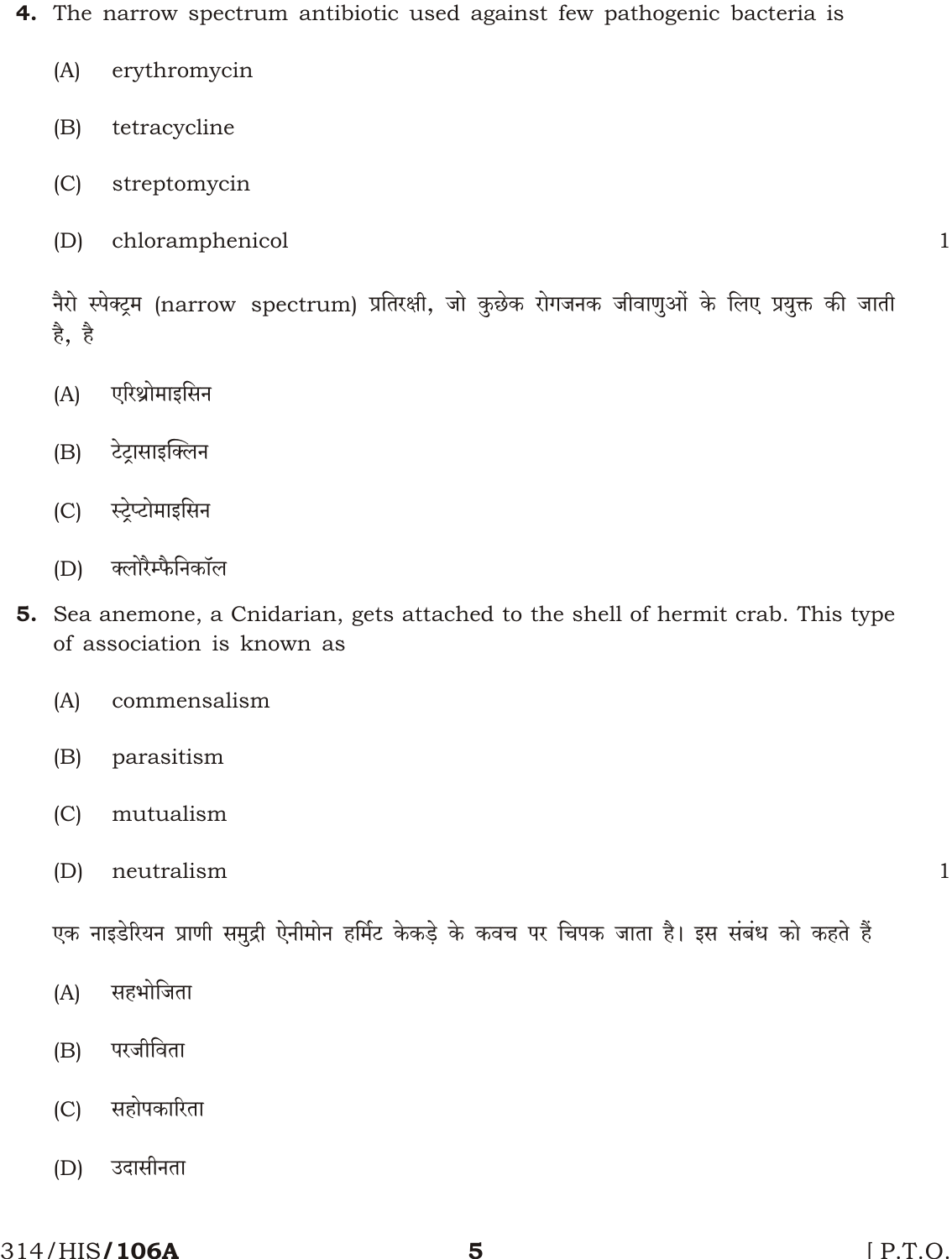- 4. The narrow spectrum antibiotic used against few pathogenic bacteria is
	- erythromycin  $(A)$
	- tetracycline  $(B)$
	- $(C)$ streptomycin
	- $(D)$ chloramphenicol

 $\mathbf{1}$ 

नैरो स्पेक्ट्रम (narrow spectrum) प्रतिरक्षी, जो कुछेक रोगजनक जीवाणुओं के लिए प्रयुक्त की जाती है, है

- एरिथ्रोमाइसिन  $(A)$
- टेट्रासाइक्लिन  $(B)$
- स्टेप्टोमाइसिन  $(C)$
- क्लोरैम्फैनिकॉल  $(D)$
- **5.** Sea anemone, a Cnidarian, gets attached to the shell of hermit crab. This type of association is known as
	- commensalism  $(A)$
	- $(B)$ parasitism
	- $(C)$ mutualism
	- $(D)$ neutralism

 $\mathbf{1}$ 

एक नाइडेरियन प्राणी समुद्री ऐनीमोन हर्मिट केकड़े के कवच पर चिपक जाता है। इस संबंध को कहते हैं

- सहभोजिता  $(A)$
- परजीविता  $(B)$
- सहोपकारिता  $(C)$
- उदासीनता  $(D)$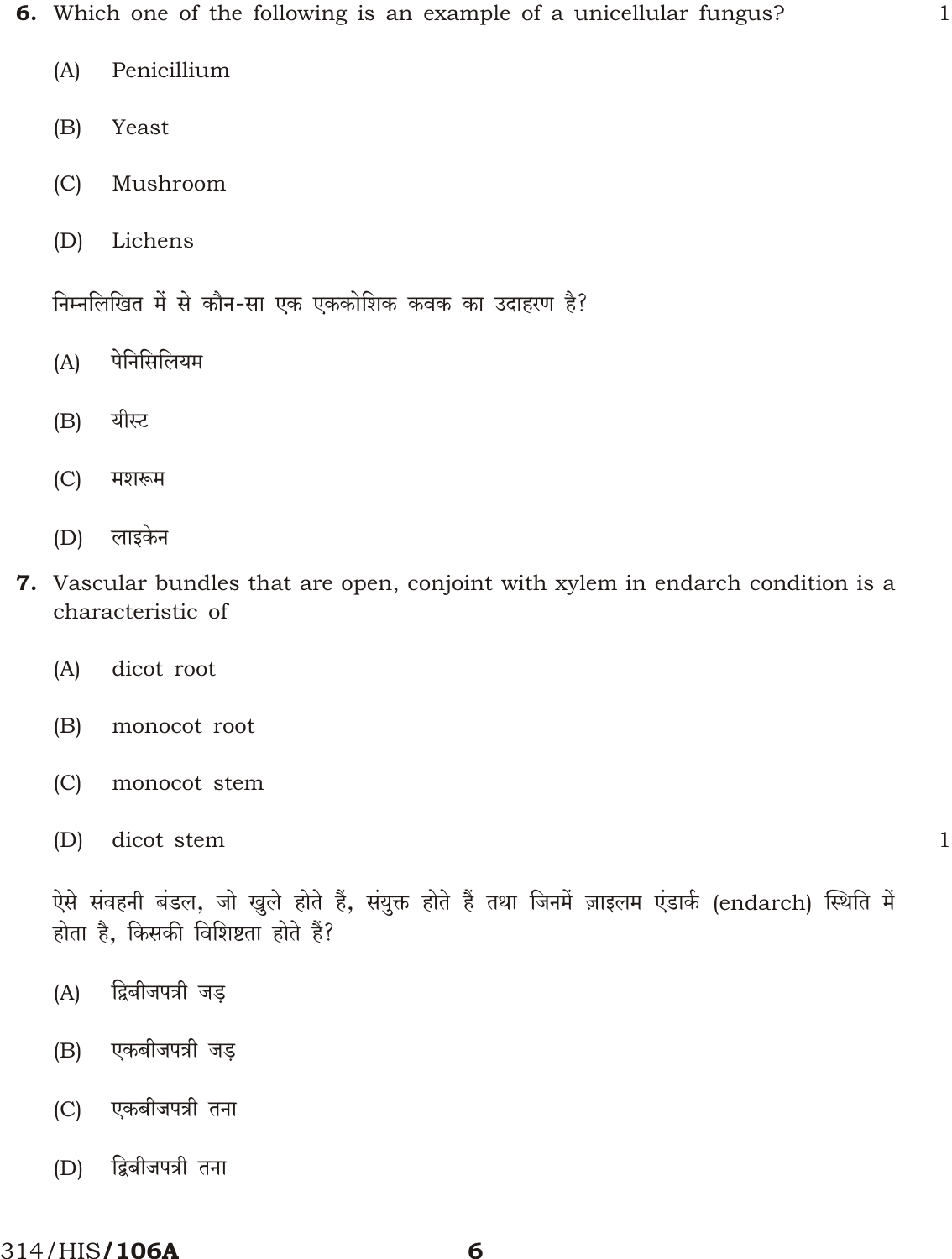- Penicillium  $(A)$
- $(B)$ Yeast
- $(C)$ Mushroom
- $(D)$ Lichens

निम्नलिखित में से कौन-सा एक एककोशिक कवक का उदाहरण है?

- पेनिसिलियम  $(A)$
- यीस्ट  $(B)$
- $(C)$ मशरूम
- लाइकेन  $(D)$
- 7. Vascular bundles that are open, conjoint with xylem in endarch condition is a characteristic of
	- $(A)$ dicot root
	- $(B)$ monocot root
	- $(C)$ monocot stem
	- $(D)$ dicot stem

 $\mathbf{1}$ 

 $\mathbf{1}$ 

ऐसे संवहनी बंडल, जो खुले होते हैं, संयुक्त होते हैं तथा जिनमें ज़ाइलम एंडार्क (endarch) स्थिति में होता है, किसकी विशिष्टता होते हैं?

- द्विबीजपत्री जड़  $(A)$
- एकबीजपत्री जड  $(B)$
- एकबीजपत्री तना  $(C)$
- द्विबीजपत्री तना  $(D)$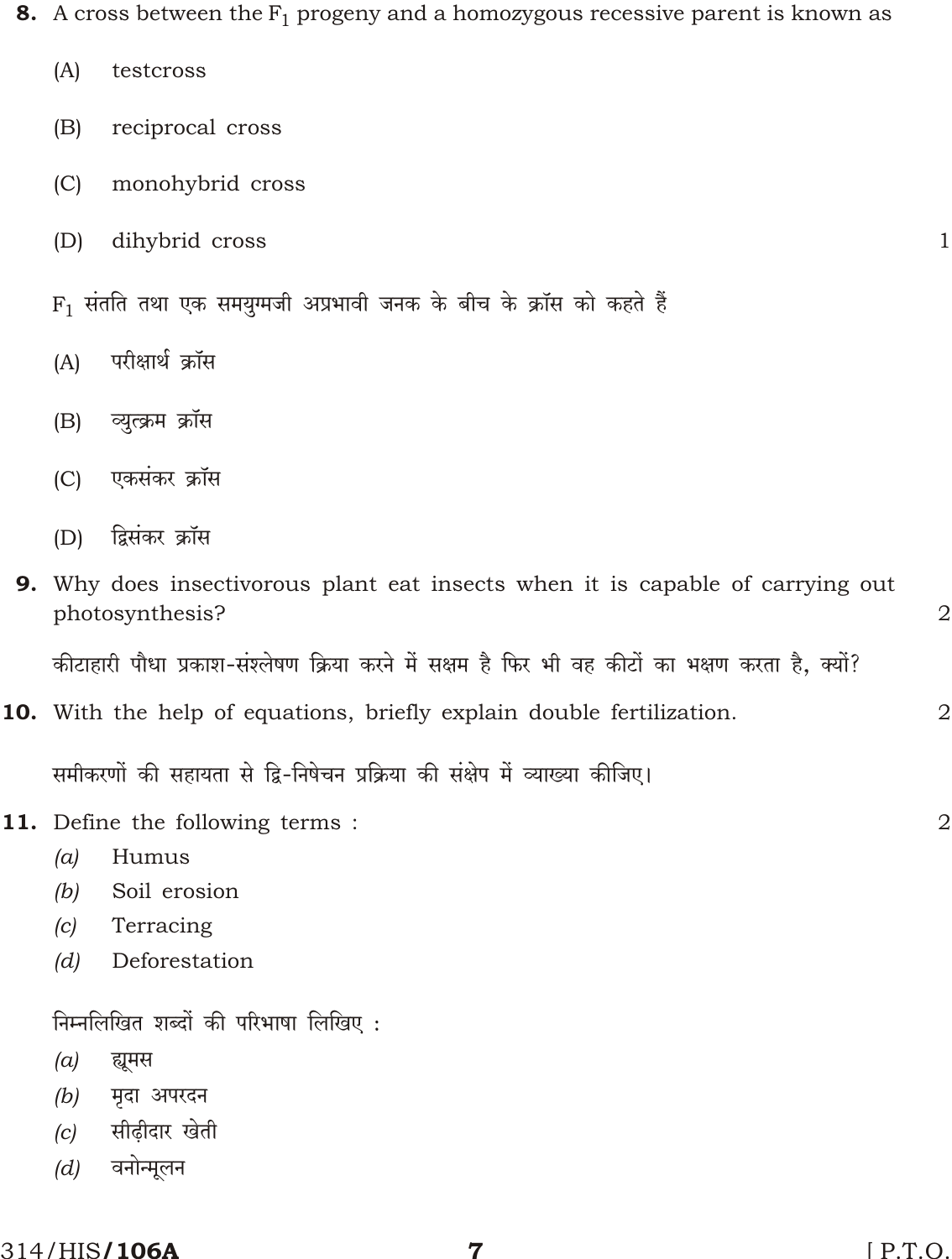8. A cross between the  $F_1$  progeny and a homozygous recessive parent is known as

| (A)                                                                                                      | testcross                                                             |                |  |  |  |  |  |
|----------------------------------------------------------------------------------------------------------|-----------------------------------------------------------------------|----------------|--|--|--|--|--|
| (B)                                                                                                      | reciprocal cross                                                      |                |  |  |  |  |  |
| (C)                                                                                                      | monohybrid cross                                                      |                |  |  |  |  |  |
| (D)                                                                                                      | dihybrid cross                                                        | 1              |  |  |  |  |  |
| $F_1$ संतति तथा एक समयुग्मजी अप्रभावी जनक के बीच के क्रॉस को कहते हैं                                    |                                                                       |                |  |  |  |  |  |
| परीक्षार्थ क्रॉस<br>(A)                                                                                  |                                                                       |                |  |  |  |  |  |
| (B)                                                                                                      | व्युत्क्रम क्रॉस                                                      |                |  |  |  |  |  |
| (C)                                                                                                      | एकसंकर क्रॉस                                                          |                |  |  |  |  |  |
| (D)                                                                                                      | द्विसंकर क्रॉस                                                        |                |  |  |  |  |  |
| <b>9.</b> Why does insectivorous plant eat insects when it is capable of carrying out<br>photosynthesis? |                                                                       |                |  |  |  |  |  |
| कीटाहारी पौधा प्रकाश-संश्लेषण क्रिया करने में सक्षम है फिर भी वह कीटों का भक्षण करता है, क्यों?          |                                                                       |                |  |  |  |  |  |
|                                                                                                          | 10. With the help of equations, briefly explain double fertilization. | $\overline{2}$ |  |  |  |  |  |
| समीकरणों की सहायता से द्वि-निषेचन प्रक्रिया की संक्षेप में व्याख्या कीजिए।                               |                                                                       |                |  |  |  |  |  |
|                                                                                                          | 11. Define the following terms:                                       |                |  |  |  |  |  |
| (a)                                                                                                      | Humus                                                                 |                |  |  |  |  |  |
| (b)                                                                                                      | Soil erosion                                                          |                |  |  |  |  |  |
| (c)                                                                                                      | Terracing                                                             |                |  |  |  |  |  |
| (d)                                                                                                      | Deforestation                                                         |                |  |  |  |  |  |
| निम्नलिखित शब्दों की परिभाषा लिखिए:                                                                      |                                                                       |                |  |  |  |  |  |
| (a)                                                                                                      | ह्यूमस                                                                |                |  |  |  |  |  |
| (b)                                                                                                      | मृदा अपरदन                                                            |                |  |  |  |  |  |
| सीढ़ीदार खेती<br>(c)                                                                                     |                                                                       |                |  |  |  |  |  |
| (d)                                                                                                      | वनोन्मूलन                                                             |                |  |  |  |  |  |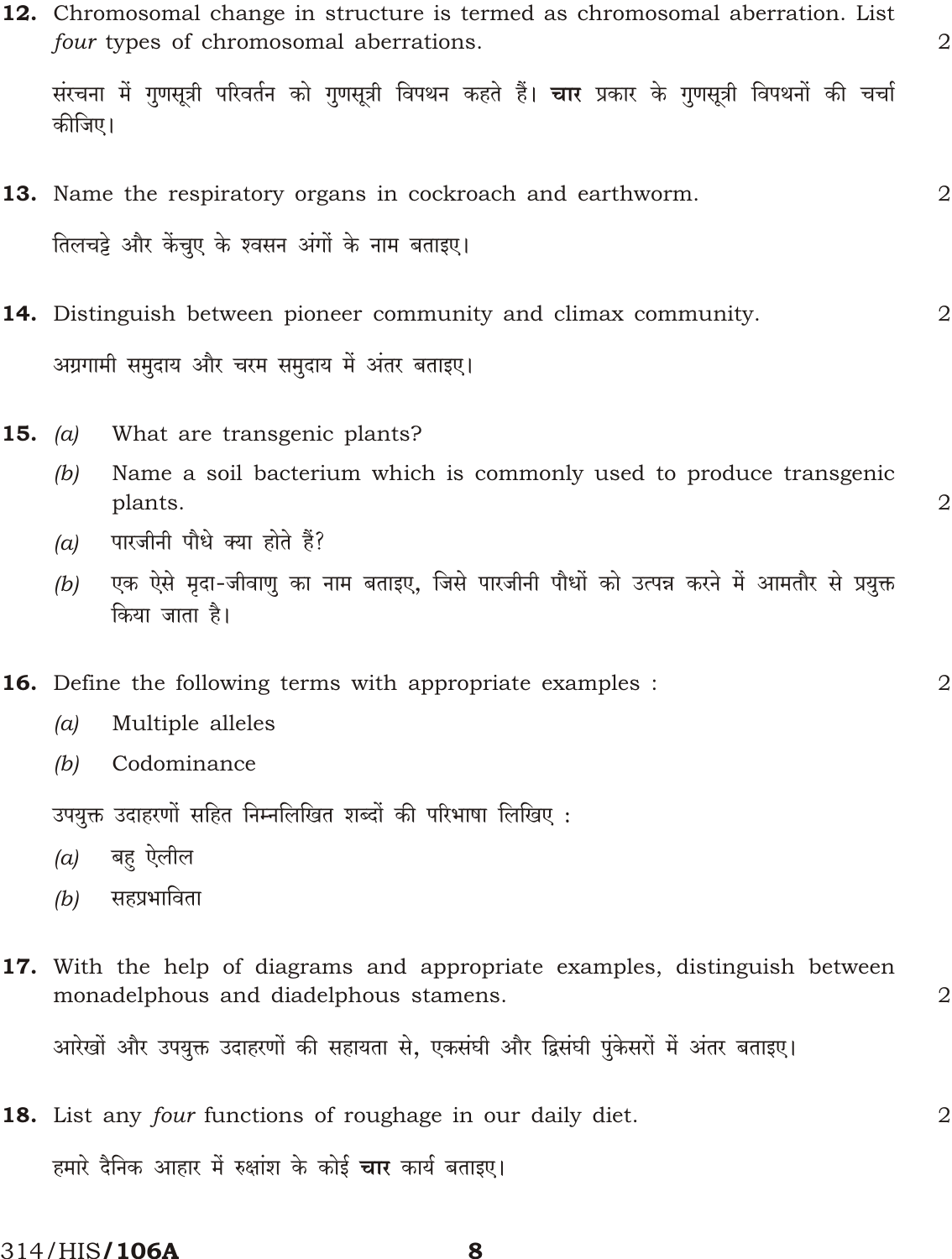|                                                              | 12. Chromosomal change in structure is termed as chromosomal aberration. List<br>four types of chromosomal aberrations.<br>संरचना में गुणसूत्री परिवर्तन को गुणसूत्री विपथन कहते हैं। <b>चार</b> प्रकार के गुणसूत्री विपथनों की चर्चा<br>कीजिए। |                                                                                                                      |                |  |  |  |  |  |
|--------------------------------------------------------------|-------------------------------------------------------------------------------------------------------------------------------------------------------------------------------------------------------------------------------------------------|----------------------------------------------------------------------------------------------------------------------|----------------|--|--|--|--|--|
|                                                              |                                                                                                                                                                                                                                                 |                                                                                                                      |                |  |  |  |  |  |
|                                                              |                                                                                                                                                                                                                                                 | 13. Name the respiratory organs in cockroach and earthworm.                                                          | 2              |  |  |  |  |  |
|                                                              | तिलचट्टे और केंचुए के श्वसन अंगों के नाम बताइए।                                                                                                                                                                                                 |                                                                                                                      |                |  |  |  |  |  |
|                                                              |                                                                                                                                                                                                                                                 | 14. Distinguish between pioneer community and climax community.                                                      | 2              |  |  |  |  |  |
|                                                              | अग्रगामी समुदाय और चरम समुदाय में अंतर बताइए।                                                                                                                                                                                                   |                                                                                                                      |                |  |  |  |  |  |
| 15.                                                          | (a)                                                                                                                                                                                                                                             | What are transgenic plants?                                                                                          |                |  |  |  |  |  |
|                                                              | (b)                                                                                                                                                                                                                                             | Name a soil bacterium which is commonly used to produce transgenic<br>plants.                                        | 2              |  |  |  |  |  |
|                                                              | (a)                                                                                                                                                                                                                                             | पारजीनी पौधे क्या होते हैं?                                                                                          |                |  |  |  |  |  |
|                                                              | (b)                                                                                                                                                                                                                                             | एक ऐसे मृदा-जीवाणु का नाम बताइए, जिसे पारजीनी पौधों को उत्पन्न करने में आमतौर से प्रयुक्त<br>किया जाता है।           |                |  |  |  |  |  |
|                                                              |                                                                                                                                                                                                                                                 | 16. Define the following terms with appropriate examples :                                                           | $\overline{2}$ |  |  |  |  |  |
|                                                              | (a)                                                                                                                                                                                                                                             | Multiple alleles                                                                                                     |                |  |  |  |  |  |
|                                                              | (b)                                                                                                                                                                                                                                             | Codominance                                                                                                          |                |  |  |  |  |  |
|                                                              | उपयुक्त उदाहरणों सहित निम्नलिखित शब्दों की परिभाषा लिखिए :                                                                                                                                                                                      |                                                                                                                      |                |  |  |  |  |  |
|                                                              | (a)                                                                                                                                                                                                                                             | बहु ऐलील                                                                                                             |                |  |  |  |  |  |
|                                                              | (b)                                                                                                                                                                                                                                             | सहप्रभाविता                                                                                                          |                |  |  |  |  |  |
|                                                              |                                                                                                                                                                                                                                                 | 17. With the help of diagrams and appropriate examples, distinguish between<br>monadelphous and diadelphous stamens. | 2              |  |  |  |  |  |
|                                                              |                                                                                                                                                                                                                                                 | आरेखों और उपयुक्त उदाहरणों की सहायता से, एकसंघी और द्विसंघी पुंकेसरों में अंतर बताइए।                                |                |  |  |  |  |  |
|                                                              |                                                                                                                                                                                                                                                 | 18. List any four functions of roughage in our daily diet.                                                           | 2              |  |  |  |  |  |
| हमारे दैनिक आहार में रुक्षांश के कोई <b>चार</b> कार्य बताइए। |                                                                                                                                                                                                                                                 |                                                                                                                      |                |  |  |  |  |  |

314/HIS/106A

8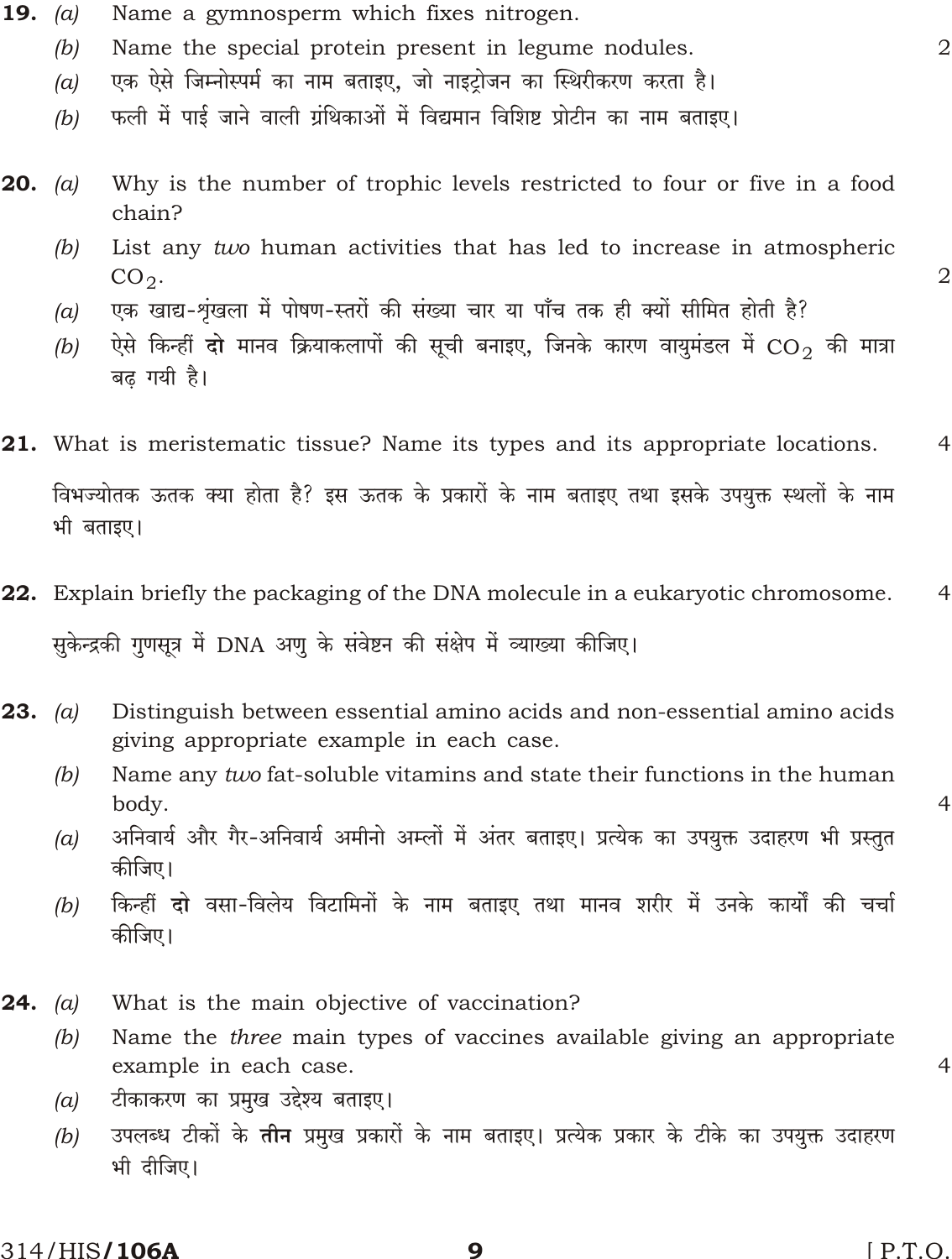- Name a gymnosperm which fixes nitrogen. **19.** (a)
	- Name the special protein present in legume nodules.  $(b)$
	- एक ऐसे जिम्नोस्पर्म का नाम बताइए, जो नाइट्रोजन का स्थिरीकरण करता है।  $(a)$
	- फली में पाई जाने वाली ग्रंथिकाओं में विद्यमान विशिष्ट प्रोटीन का नाम बताइए।  $(b)$
- **20.** (a) Why is the number of trophic levels restricted to four or five in a food chain?
	- List any two human activities that has led to increase in atmospheric  $(b)$  $CO<sub>2</sub>$ .
	- एक खाद्य-शृंखला में पोषण-स्तरों की संख्या चार या पाँच तक ही क्यों सीमित होती है?  $(a)$
	- ऐसे किन्हीं **दो** मानव क्रियाकलापों की सूची बनाइए, जिनके कारण वायमंडल में CO2 की मात्रा  $(b)$ बढ गयी है।
- **21.** What is meristematic tissue? Name its types and its appropriate locations.  $\overline{4}$ विभज्योतक ऊतक क्या होता है? इस ऊतक के प्रकारों के नाम बताइए तथा इसके उपयुक्त स्थलों के नाम भी बताइए।
- 22. Explain briefly the packaging of the DNA molecule in a eukaryotic chromosome.  $\overline{4}$ सुकेन्द्रकी गुणसूत्र में DNA अणु के संवेष्टन की संक्षेप में व्याख्या कीजिए।
- **23.** (a) Distinguish between essential amino acids and non-essential amino acids giving appropriate example in each case.
	- $(b)$ Name any two fat-soluble vitamins and state their functions in the human body.
	- अनिवार्य और गैर-अनिवार्य अमीनो अम्लों में अंतर बताइए। प्रत्येक का उपयुक्त उदाहरण भी प्रस्तुत  $(a)$ कीजिए।
	- किन्हीं दो वसा-विलेय विटामिनों के नाम बताइए तथा मानव शरीर में उनके कार्यों की चर्चा  $(b)$ कीजिए।
- What is the main objective of vaccination? **24.** (a)
	- Name the *three* main types of vaccines available giving an appropriate  $(b)$ example in each case.
	- टीकाकरण का प्रमुख उद्देश्य बताइए।  $(a)$
	- उपलब्ध टीकों के **तीन** प्रमुख प्रकारों के नाम बताइए। प्रत्येक प्रकार के टीके का उपयुक्त उदाहरण  $(b)$ भी दीजिए।

9

314/HIS**/106A** 

 $[$  P.T.O.

 $\overline{2}$ 

 $\overline{2}$ 

 $\overline{4}$ 

 $\overline{4}$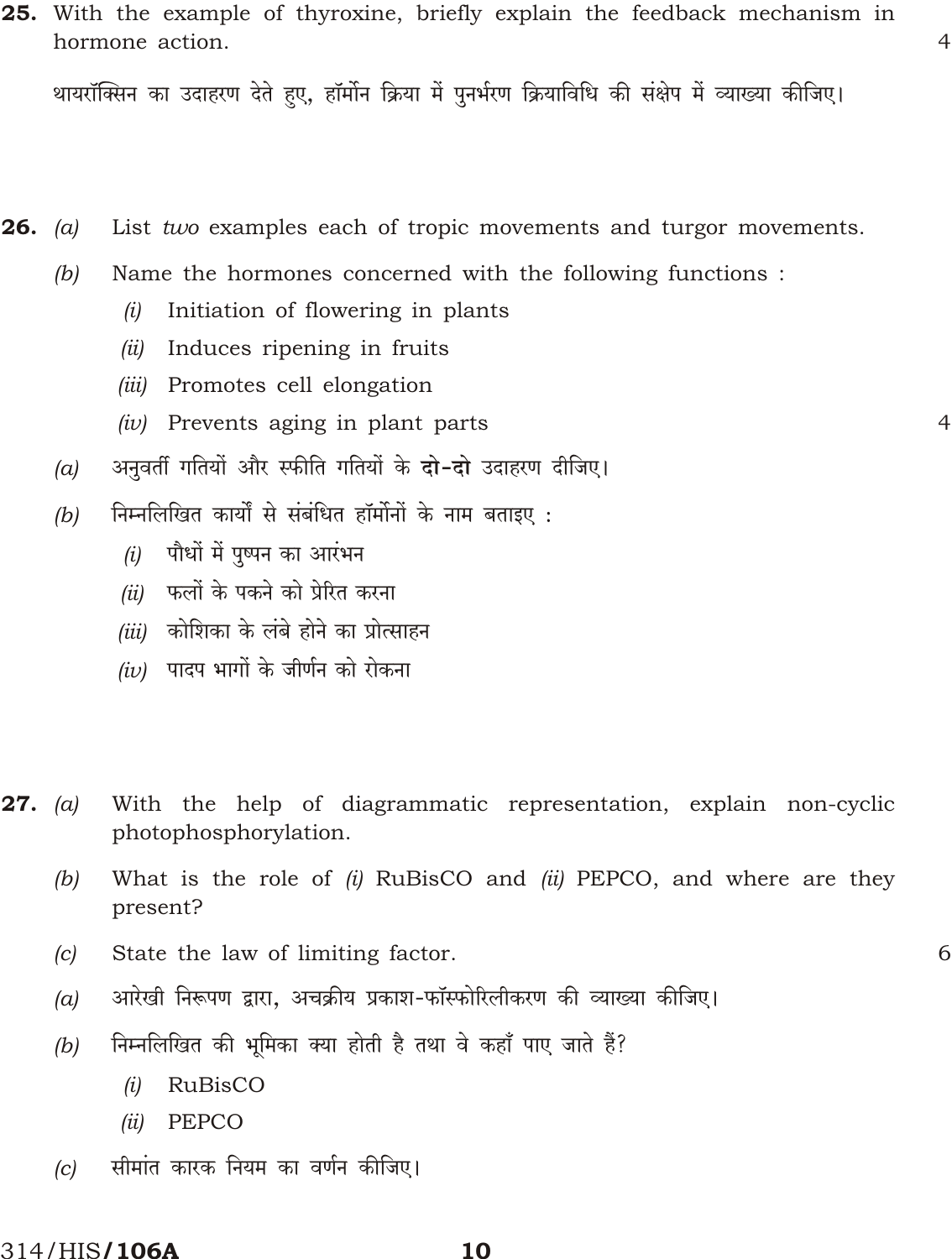थायरॉक्सिन का उदाहरण देते हुए, हॉर्मोन क्रिया में पुनर्भरण क्रियाविधि की संक्षेप में व्याख्या कीजिए।

26. List two examples each of tropic movements and turgor movements.  $(a)$ 

- Name the hormones concerned with the following functions :  $(b)$ 
	- Initiation of flowering in plants  $(i)$
	- $(ii)$  Induces ripening in fruits
	- (iii) Promotes cell elongation
	- $(iv)$  Prevents aging in plant parts
- अनुवर्ती गतियों और स्फीति गतियों के **दो-दो** उदाहरण दीजिए।  $(a)$
- निम्नलिखित कार्यों से संबंधित हॉर्मोनों के नाम बताइए :  $(b)$ 
	- पौधों में पुष्पन का आरंभन  $(i)$
	- फलों के पकने को प्रेरित करना  $(ii)$
	- (iii) कोशिका के लंबे होने का प्रोत्साहन
	- $(iv)$  पादप भागों के जीर्णन को रोकना
- With the help of diagrammatic representation, explain non-cyclic **27.** (a) photophosphorylation.
	- What is the role of  $(i)$  RuBisCO and  $(ii)$  PEPCO, and where are they  $(b)$ present?
	- $(c)$ State the law of limiting factor.
	- आरेखी निरूपण द्वारा, अचक्रीय प्रकाश-फॉस्फोरिलीकरण की व्याख्या कीजिए।  $(a)$
	- निम्नलिखित की भूमिका क्या होती है तथा वे कहाँ पाए जाते हैं?  $(b)$ 
		- $(i)$ **RuBisCO**
		- $(ii)$ PEPCO
	- सीमांत कारक नियम का वर्णन कीजिए।  $|c|$

#### 314/HIS**/106A**

 $\Delta$ 

 $\overline{4}$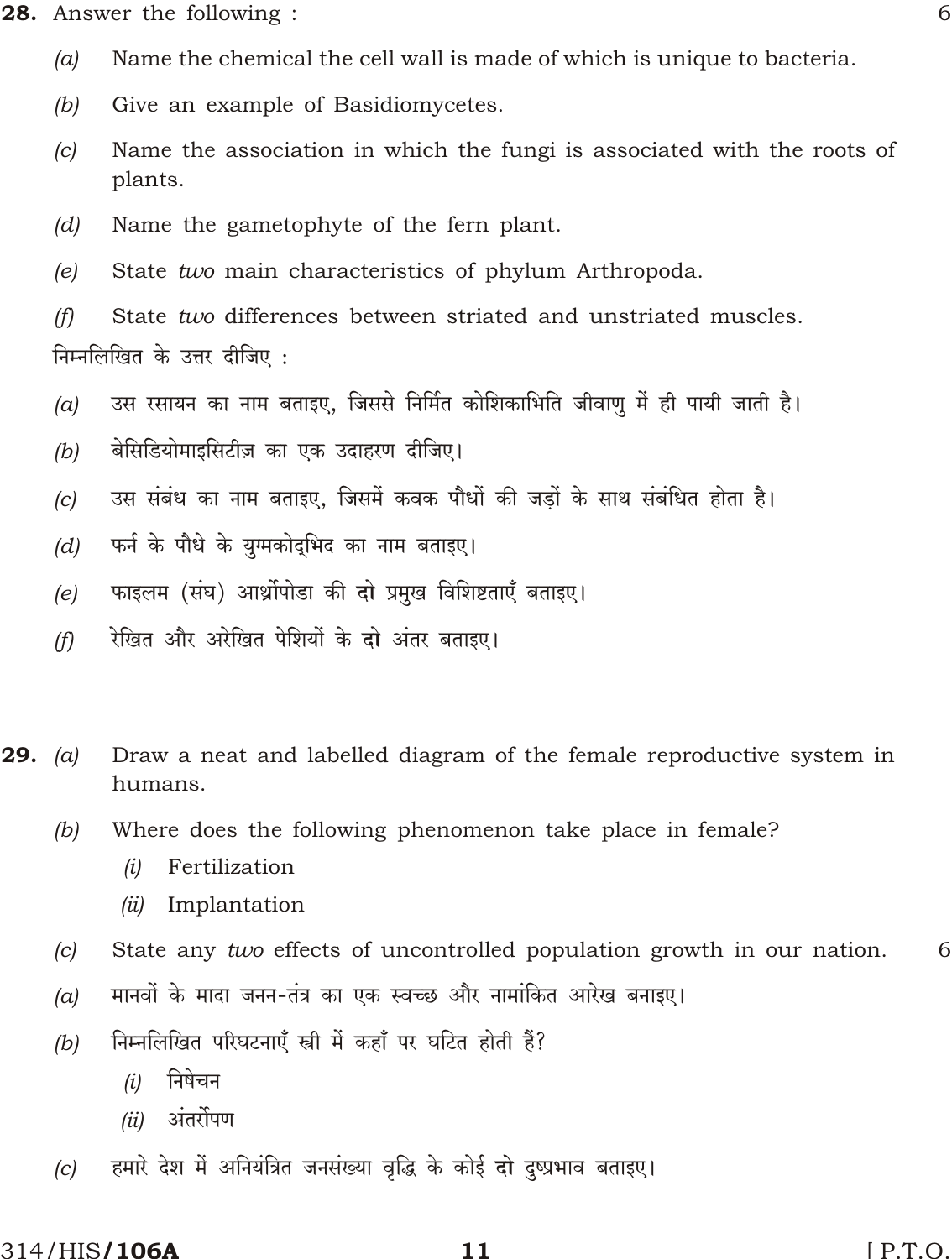28. Answer the following:

- Name the chemical the cell wall is made of which is unique to bacteria.  $(a)$
- Give an example of Basidiomycetes.  $(b)$
- Name the association in which the fungi is associated with the roots of  $(c)$ plants.
- Name the gametophyte of the fern plant.  $(d)$
- State two main characteristics of phylum Arthropoda.  $(e)$

 $(f)$ State two differences between striated and unstriated muscles. निम्नलिखित के उत्तर दीजिए :

- उस रसायन का नाम बताइए, जिससे निर्मित कोशिकाभिति जीवाणु में ही पायी जाती है।  $(a)$
- बेसिडियोमाइसिटीज़ का एक उदाहरण दीजिए।  $(b)$
- उस संबंध का नाम बताइए, जिसमें कवक पौधों की जड़ों के साथ संबंधित होता है।  $(c)$
- फर्न के पौधे के युग्मकोदुभिद का नाम बताइए।  $(d)$
- फाइलम (संघ) आर्थ्रोपोडा की दो प्रमुख विशिष्टताएँ बताइए।  $(e)$
- रेखित और अरेखित पेशियों के दो अंतर बताइए।  $(f)$
- **29.** (a) Draw a neat and labelled diagram of the female reproductive system in humans.
	- Where does the following phenomenon take place in female?  $(b)$ 
		- Fertilization  $(i)$
		- $(ii)$  Implantation
	- State any two effects of uncontrolled population growth in our nation.  $(c)$ 6
	- मानवों के मादा जनन-तंत्र का एक स्वच्छ और नामांकित आरेख बनाइए।  $(a)$
	- निम्नलिखित परिघटनाएँ स्त्री में कहाँ पर घटित होती हैं?  $(b)$ 
		- निषेचन  $(i)$
		- अंतर्रोपण  $(ii)$
	- हमारे देश में अनियंत्रित जनसंख्या वृद्धि के कोई दो दुष्प्रभाव बताइए।  $(c)$

#### 314/HIS**/106A**